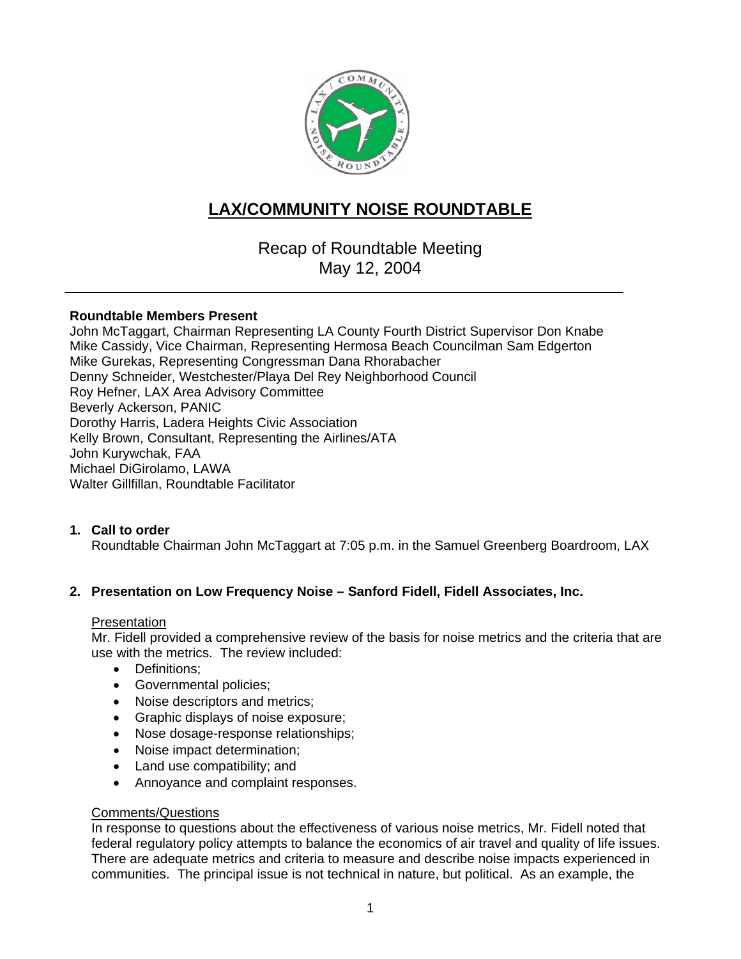

# **LAX/COMMUNITY NOISE ROUNDTABLE**

Recap of Roundtable Meeting May 12, 2004

#### **Roundtable Members Present**

John McTaggart, Chairman Representing LA County Fourth District Supervisor Don Knabe Mike Cassidy, Vice Chairman, Representing Hermosa Beach Councilman Sam Edgerton Mike Gurekas, Representing Congressman Dana Rhorabacher Denny Schneider, Westchester/Playa Del Rey Neighborhood Council Roy Hefner, LAX Area Advisory Committee Beverly Ackerson, PANIC Dorothy Harris, Ladera Heights Civic Association Kelly Brown, Consultant, Representing the Airlines/ATA John Kurywchak, FAA Michael DiGirolamo, LAWA Walter Gillfillan, Roundtable Facilitator

## **1. Call to order**

Roundtable Chairman John McTaggart at 7:05 p.m. in the Samuel Greenberg Boardroom, LAX

## **2. Presentation on Low Frequency Noise – Sanford Fidell, Fidell Associates, Inc.**

#### **Presentation**

Mr. Fidell provided a comprehensive review of the basis for noise metrics and the criteria that are use with the metrics. The review included:

- Definitions;
- Governmental policies;
- Noise descriptors and metrics;
- Graphic displays of noise exposure;
- Nose dosage-response relationships;
- Noise impact determination;
- Land use compatibility; and
- Annoyance and complaint responses.

#### Comments/Questions

In response to questions about the effectiveness of various noise metrics, Mr. Fidell noted that federal regulatory policy attempts to balance the economics of air travel and quality of life issues. There are adequate metrics and criteria to measure and describe noise impacts experienced in communities. The principal issue is not technical in nature, but political. As an example, the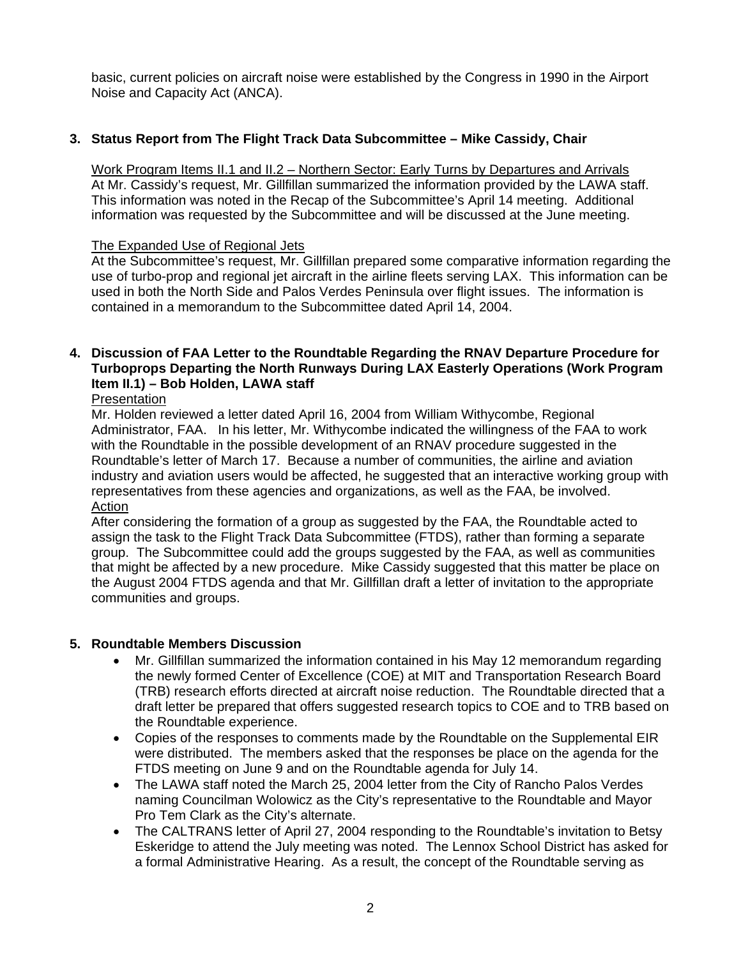basic, current policies on aircraft noise were established by the Congress in 1990 in the Airport Noise and Capacity Act (ANCA).

# **3. Status Report from The Flight Track Data Subcommittee – Mike Cassidy, Chair**

Work Program Items II.1 and II.2 – Northern Sector: Early Turns by Departures and Arrivals At Mr. Cassidy's request, Mr. Gillfillan summarized the information provided by the LAWA staff. This information was noted in the Recap of the Subcommittee's April 14 meeting. Additional information was requested by the Subcommittee and will be discussed at the June meeting.

# The Expanded Use of Regional Jets

At the Subcommittee's request, Mr. Gillfillan prepared some comparative information regarding the use of turbo-prop and regional jet aircraft in the airline fleets serving LAX. This information can be used in both the North Side and Palos Verdes Peninsula over flight issues. The information is contained in a memorandum to the Subcommittee dated April 14, 2004.

# **4. Discussion of FAA Letter to the Roundtable Regarding the RNAV Departure Procedure for Turboprops Departing the North Runways During LAX Easterly Operations (Work Program Item II.1) – Bob Holden, LAWA staff**

#### **Presentation**

Mr. Holden reviewed a letter dated April 16, 2004 from William Withycombe, Regional Administrator, FAA. In his letter, Mr. Withycombe indicated the willingness of the FAA to work with the Roundtable in the possible development of an RNAV procedure suggested in the Roundtable's letter of March 17. Because a number of communities, the airline and aviation industry and aviation users would be affected, he suggested that an interactive working group with representatives from these agencies and organizations, as well as the FAA, be involved. Action

After considering the formation of a group as suggested by the FAA, the Roundtable acted to assign the task to the Flight Track Data Subcommittee (FTDS), rather than forming a separate group. The Subcommittee could add the groups suggested by the FAA, as well as communities that might be affected by a new procedure. Mike Cassidy suggested that this matter be place on the August 2004 FTDS agenda and that Mr. Gillfillan draft a letter of invitation to the appropriate communities and groups.

## **5. Roundtable Members Discussion**

- Mr. Gillfillan summarized the information contained in his May 12 memorandum regarding the newly formed Center of Excellence (COE) at MIT and Transportation Research Board (TRB) research efforts directed at aircraft noise reduction. The Roundtable directed that a draft letter be prepared that offers suggested research topics to COE and to TRB based on the Roundtable experience.
- Copies of the responses to comments made by the Roundtable on the Supplemental EIR were distributed. The members asked that the responses be place on the agenda for the FTDS meeting on June 9 and on the Roundtable agenda for July 14.
- The LAWA staff noted the March 25, 2004 letter from the City of Rancho Palos Verdes naming Councilman Wolowicz as the City's representative to the Roundtable and Mayor Pro Tem Clark as the City's alternate.
- The CALTRANS letter of April 27, 2004 responding to the Roundtable's invitation to Betsy Eskeridge to attend the July meeting was noted. The Lennox School District has asked for a formal Administrative Hearing. As a result, the concept of the Roundtable serving as